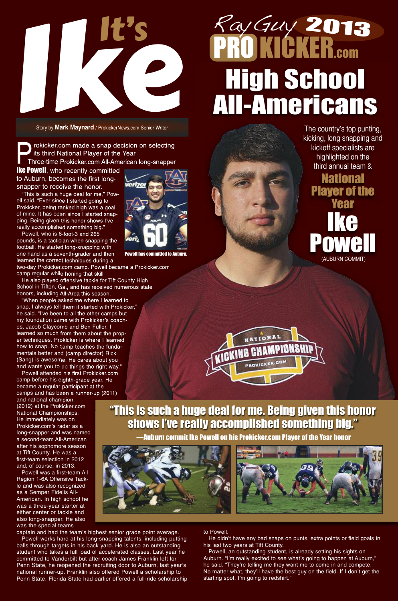rokicker.com made a snap decision on selecting its third National Player of the Year. Three-time Prokicker.com All-American long-snapper

**Ike Powell**, who recently committed to Auburn, becomes the first longsnapper to receive the honor.

"This is such a huge deal for me," Powell said. "Ever since I started going to Prokicker, being ranked high was a goal of mine. It has been since I started snapping. Being given this honor shows I've really accomplished something big."

Powell, who is 6-foot-3 and 265 pounds, is a tactician when snapping the football. He started long-snapping with one hand as a seventh-grader and then learned the correct techniques during a

two-day Prokicker.com camp. Powell became a Prokicker.com camp regular while honing that skill.

He also played offensive tackle for Tift County High School in Tifton, Ga., and has received numerous state honors, including All-Area this season.

"When people asked me where I learned to snap, I always tell them it started with Prokicker," he said. "I've been to all the other camps but my foundation came with Prokicker's coaches, Jacob Claycomb and Ben Fuller. I learned so much from them about the proper techniques. Prokicker is where I learned how to snap. No camp teaches the fundamentals better and (camp director) Rick (Sang) is awesome. He cares about you and wants you to do things the right way."

Powell attended his first Prokicker.com camp before his eighth-grade year. He became a regular participant at the camps and has been a runner-up (2011)

# PRO KICKER.com RayGuy **PRO KICKER.com**<br> **High School**<br>
Story by Mark Maynard / ProkidenNews.com Senior Writer<br> **All-Americans** 2013

and national champion (2012) at the Prokicker.com National Championships. He immediately was on Prokicker.com's radar as a long-snapper and was named a second-team All-American after his sophomore season at Tift County. He was a first-team selection in 2012 and, of course, in 2013. Powell was a first-team All Region 1-6A Offensive Tackle and was also recognized as a Semper Fidelis All-American. In high school he was a three-year starter at either center or tackle and also long-snapper. He also was the special teams

captain and had the team's highest senior grade point average.

Powell works hard at his long-snapping talents, including putting balls through targets in his back yard. He is also an outstanding student who takes a full load of accelerated classes. Last year he committed to Vanderbilt but after coach James Franklin left for Penn State, he reopened the recruiting door to Auburn, last year's national runner-up. Franklin also offered Powell a scholarship to Penn State. Florida State had earlier offered a full-ride scholarship

Story by **Mark Maynard** / ProkickerNews.com Senior Writer

#### to Powell.

He didn't have any bad snaps on punts, extra points or field goals in his last two years at Tift County.

Powell, an outstanding student, is already setting his sights on Auburn. "I'm really excited to see what's going to happen at Auburn," he said. "They're telling me they want me to come in and compete. No matter what, they'll have the best guy on the field. If I don't get the starting spot, I'm going to redshirt."

# It's



Powell has committed to Auburn.

The country's top punting,

kicking, long snapping and kickoff specialists are

> highlighted on the third annual team &

> > **National**

**Player of the** 

Year

Ike

Powell

"This is such a huge deal for me. Being given this honor shows I've really accomplished something big."

—Auburn commit Ike Powell on his Prokicker.com Player of the Year honor



(AUBURN COMMIT)